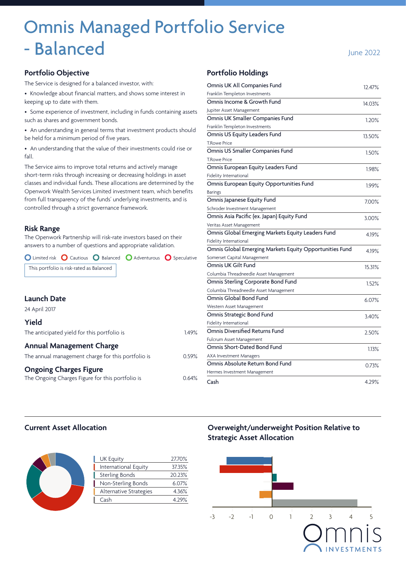# Omnis Managed Portfolio Service - Balanced June 2022

#### **Portfolio Objective**

The Service is designed for a balanced investor, with:

• Knowledge about financial matters, and shows some interest in keeping up to date with them.

- Some experience of investment, including in funds containing assets such as shares and government bonds.
- An understanding in general terms that investment products should be held for a minimum period of five years.

• An understanding that the value of their investments could rise or fall.

The Service aims to improve total returns and actively manage short-term risks through increasing or decreasing holdings in asset classes and individual funds. These allocations are determined by the Openwork Wealth Services Limited investment team, which benefits from full transparency of the funds' underlying investments, and is controlled through a strict governance framework.

#### **Risk Range**

The Openwork Partnership will risk-rate investors based on their answers to a number of questions and appropriate validation.

| ◯ Limited risk ◯ Cautious ◯ Balanced ◯ Adventurous ◯ Speculative |       |  |
|------------------------------------------------------------------|-------|--|
| This portfolio is risk-rated as Balanced                         |       |  |
|                                                                  |       |  |
|                                                                  |       |  |
| Launch Date                                                      |       |  |
| 24 April 2017                                                    |       |  |
| Yield                                                            |       |  |
| The anticipated yield for this portfolio is                      | 1.49% |  |
| <b>Annual Management Charge</b>                                  |       |  |
| The annual management charge for this portfolio is               | 0.59% |  |
| <b>Ongoing Charges Figure</b>                                    |       |  |
| The Ongoing Charges Figure for this portfolio is                 | 0.64% |  |

#### **Portfolio Holdings**

| Omnis UK All Companies Fund                             | 12.47% |
|---------------------------------------------------------|--------|
| Franklin Templeton Investments                          |        |
| Omnis Income & Growth Fund                              | 14.03% |
| Jupiter Asset Management                                |        |
| Omnis UK Smaller Companies Fund                         | 1.20%  |
| Franklin Templeton Investments                          |        |
| Omnis US Equity Leaders Fund                            | 13.50% |
| <b>T.Rowe Price</b>                                     |        |
| Omnis US Smaller Companies Fund                         | 1.50%  |
| <b>T.Rowe Price</b>                                     |        |
| Omnis European Equity Leaders Fund                      | 1.98%  |
| Fidelity International                                  |        |
| Omnis European Equity Opportunities Fund                | 1.99%  |
| <b>Barings</b>                                          |        |
| Omnis Japanese Equity Fund                              | 7.00%  |
| Schroder Investment Management                          |        |
| Omnis Asia Pacific (ex. Japan) Equity Fund              | 3.00%  |
| Veritas Asset Management                                |        |
| Omnis Global Emerging Markets Equity Leaders Fund       | 4.19%  |
| Fidelity International                                  |        |
| Omnis Global Emerging Markets Equity Opportunities Fund | 4.19%  |
| Somerset Capital Management                             |        |
| Omnis UK Gilt Fund                                      | 15.31% |
| Columbia Threadneedle Asset Management                  |        |
| Omnis Sterling Corporate Bond Fund                      | 1.52%  |
| Columbia Threadneedle Asset Management                  |        |
| Omnis Global Bond Fund                                  | 6.07%  |
| Western Asset Management                                |        |
| Omnis Strategic Bond Fund                               | 3.40%  |
| Fidelity International                                  |        |
| Omnis Diversified Returns Fund                          | 2.50%  |
| Fulcrum Asset Management                                |        |
| Omnis Short-Dated Bond Fund                             | 1.13%  |
| <b>AXA Investment Managers</b>                          |        |
| Omnis Absolute Return Bond Fund                         | 0.73%  |
| Hermes Investment Management                            |        |
| Cash                                                    | 4.29%  |

#### **Current Asset Allocation**

| <b>UK Equity</b>       | 27.70%   |
|------------------------|----------|
| International Equity   | 37.35%   |
| <b>Sterling Bonds</b>  | 20.23%   |
| Non-Sterling Bonds     | $6.07\%$ |
| Alternative Strategies | 4.36%    |
| Cash                   | 4.79%    |
|                        |          |

**Overweight/underweight Position Relative to Strategic Asset Allocation**